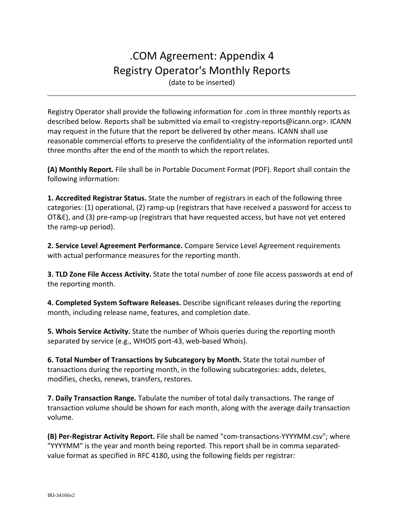# .COM Agreement: Appendix 4 Registry Operator's Monthly Reports

(date to be inserted)

Registry Operator shall provide the following information for .com in three monthly reports as described below. Reports shall be submitted via email to <registry-reports@icann.org>. ICANN may request in the future that the report be delivered by other means. ICANN shall use reasonable commercial efforts to preserve the confidentiality of the information reported until three months after the end of the month to which the report relates.

**(A) Monthly Report.** File shall be in Portable Document Format (PDF). Report shall contain the following information:

**1. Accredited Registrar Status.** State the number of registrars in each of the following three categories: (1) operational, (2) ramp-up (registrars that have received a password for access to OT&E), and (3) pre-ramp-up (registrars that have requested access, but have not yet entered the ramp-up period).

**2. Service Level Agreement Performance.** Compare Service Level Agreement requirements with actual performance measures for the reporting month.

**3. TLD Zone File Access Activity.** State the total number of zone file access passwords at end of the reporting month.

**4. Completed System Software Releases.** Describe significant releases during the reporting month, including release name, features, and completion date.

**5. Whois Service Activity.** State the number of Whois queries during the reporting month separated by service (e.g., WHOIS port-43, web-based Whois).

**6. Total Number of Transactions by Subcategory by Month.** State the total number of transactions during the reporting month, in the following subcategories: adds, deletes, modifies, checks, renews, transfers, restores.

**7. Daily Transaction Range.** Tabulate the number of total daily transactions. The range of transaction volume should be shown for each month, along with the average daily transaction volume.

**(B) Per-Registrar Activity Report.** File shall be named "com-transactions-YYYYMM.csv"; where "YYYYMM" is the year and month being reported. This report shall be in comma separatedvalue format as specified in RFC 4180, using the following fields per registrar: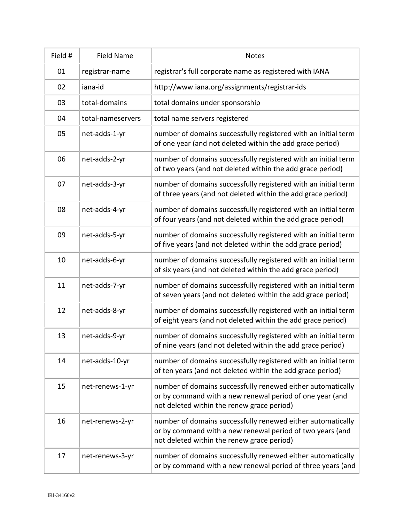| Field # | <b>Field Name</b> | <b>Notes</b>                                                                                                                                                           |  |  |  |
|---------|-------------------|------------------------------------------------------------------------------------------------------------------------------------------------------------------------|--|--|--|
| 01      | registrar-name    | registrar's full corporate name as registered with IANA                                                                                                                |  |  |  |
| 02      | iana-id           | http://www.iana.org/assignments/registrar-ids                                                                                                                          |  |  |  |
| 03      | total-domains     | total domains under sponsorship                                                                                                                                        |  |  |  |
| 04      | total-nameservers | total name servers registered                                                                                                                                          |  |  |  |
| 05      | net-adds-1-yr     | number of domains successfully registered with an initial term<br>of one year (and not deleted within the add grace period)                                            |  |  |  |
| 06      | net-adds-2-yr     | number of domains successfully registered with an initial term<br>of two years (and not deleted within the add grace period)                                           |  |  |  |
| 07      | net-adds-3-yr     | number of domains successfully registered with an initial term<br>of three years (and not deleted within the add grace period)                                         |  |  |  |
| 08      | net-adds-4-yr     | number of domains successfully registered with an initial term<br>of four years (and not deleted within the add grace period)                                          |  |  |  |
| 09      | net-adds-5-yr     | number of domains successfully registered with an initial term<br>of five years (and not deleted within the add grace period)                                          |  |  |  |
| 10      | net-adds-6-yr     | number of domains successfully registered with an initial term<br>of six years (and not deleted within the add grace period)                                           |  |  |  |
| 11      | net-adds-7-yr     | number of domains successfully registered with an initial term<br>of seven years (and not deleted within the add grace period)                                         |  |  |  |
| 12      | net-adds-8-yr     | number of domains successfully registered with an initial term<br>of eight years (and not deleted within the add grace period)                                         |  |  |  |
| 13      | net-adds-9-yr     | number of domains successfully registered with an initial term<br>of nine years (and not deleted within the add grace period)                                          |  |  |  |
| 14      | net-adds-10-yr    | number of domains successfully registered with an initial term<br>of ten years (and not deleted within the add grace period)                                           |  |  |  |
| 15      | net-renews-1-yr   | number of domains successfully renewed either automatically<br>or by command with a new renewal period of one year (and<br>not deleted within the renew grace period)  |  |  |  |
| 16      | net-renews-2-yr   | number of domains successfully renewed either automatically<br>or by command with a new renewal period of two years (and<br>not deleted within the renew grace period) |  |  |  |
| 17      | net-renews-3-yr   | number of domains successfully renewed either automatically<br>or by command with a new renewal period of three years (and                                             |  |  |  |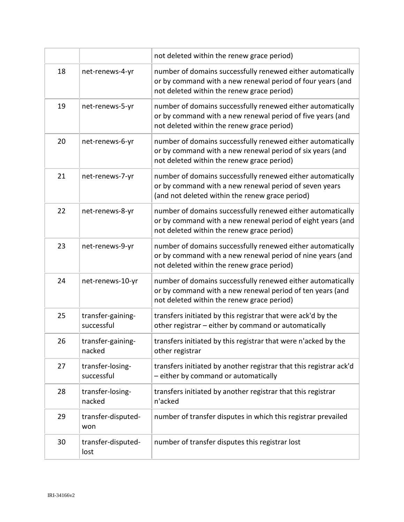|    |                                 | not deleted within the renew grace period)                                                                                                                               |  |  |
|----|---------------------------------|--------------------------------------------------------------------------------------------------------------------------------------------------------------------------|--|--|
| 18 | net-renews-4-yr                 | number of domains successfully renewed either automatically<br>or by command with a new renewal period of four years (and<br>not deleted within the renew grace period)  |  |  |
| 19 | net-renews-5-yr                 | number of domains successfully renewed either automatically<br>or by command with a new renewal period of five years (and<br>not deleted within the renew grace period)  |  |  |
| 20 | net-renews-6-yr                 | number of domains successfully renewed either automatically<br>or by command with a new renewal period of six years (and<br>not deleted within the renew grace period)   |  |  |
| 21 | net-renews-7-yr                 | number of domains successfully renewed either automatically<br>or by command with a new renewal period of seven years<br>(and not deleted within the renew grace period) |  |  |
| 22 | net-renews-8-yr                 | number of domains successfully renewed either automatically<br>or by command with a new renewal period of eight years (and<br>not deleted within the renew grace period) |  |  |
| 23 | net-renews-9-yr                 | number of domains successfully renewed either automatically<br>or by command with a new renewal period of nine years (and<br>not deleted within the renew grace period)  |  |  |
| 24 | net-renews-10-yr                | number of domains successfully renewed either automatically<br>or by command with a new renewal period of ten years (and<br>not deleted within the renew grace period)   |  |  |
| 25 | transfer-gaining-<br>successful | transfers initiated by this registrar that were ack'd by the<br>other registrar - either by command or automatically                                                     |  |  |
| 26 | transfer-gaining-<br>nacked     | transfers initiated by this registrar that were n'acked by the<br>other registrar                                                                                        |  |  |
| 27 | transfer-losing-<br>successful  | transfers initiated by another registrar that this registrar ack'd<br>- either by command or automatically                                                               |  |  |
| 28 | transfer-losing-<br>nacked      | transfers initiated by another registrar that this registrar<br>n'acked                                                                                                  |  |  |
| 29 | transfer-disputed-<br>won       | number of transfer disputes in which this registrar prevailed                                                                                                            |  |  |
| 30 | transfer-disputed-<br>lost      | number of transfer disputes this registrar lost                                                                                                                          |  |  |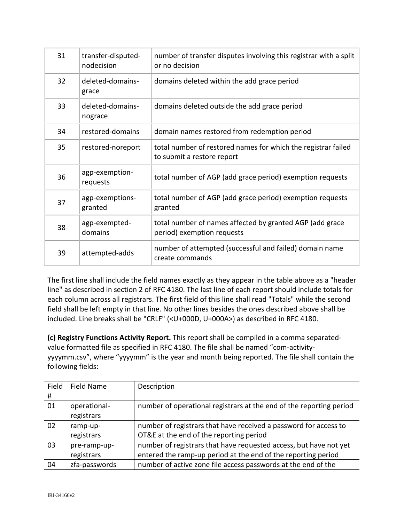| 31 | transfer-disputed-<br>nodecision | number of transfer disputes involving this registrar with a split<br>or no decision         |  |
|----|----------------------------------|---------------------------------------------------------------------------------------------|--|
| 32 | deleted-domains-<br>grace        | domains deleted within the add grace period                                                 |  |
| 33 | deleted-domains-<br>nograce      | domains deleted outside the add grace period                                                |  |
| 34 | restored-domains                 | domain names restored from redemption period                                                |  |
| 35 | restored-noreport                | total number of restored names for which the registrar failed<br>to submit a restore report |  |
| 36 | agp-exemption-<br>requests       | total number of AGP (add grace period) exemption requests                                   |  |
| 37 | agp-exemptions-<br>granted       | total number of AGP (add grace period) exemption requests<br>granted                        |  |
| 38 | agp-exempted-<br>domains         | total number of names affected by granted AGP (add grace<br>period) exemption requests      |  |
| 39 | attempted-adds                   | number of attempted (successful and failed) domain name<br>create commands                  |  |

The first line shall include the field names exactly as they appear in the table above as a "header line" as described in section 2 of RFC 4180. The last line of each report should include totals for each column across all registrars. The first field of this line shall read "Totals" while the second field shall be left empty in that line. No other lines besides the ones described above shall be included. Line breaks shall be "CRLF" (<U+000D, U+000A>) as described in RFC 4180.

**(c) Registry Functions Activity Report.** This report shall be compiled in a comma separatedvalue formatted file as specified in RFC 4180. The file shall be named "com-activityyyyymm.csv", where "yyyymm" is the year and month being reported. The file shall contain the following fields:

| Field | <b>Field Name</b> | Description                                                         |
|-------|-------------------|---------------------------------------------------------------------|
| #     |                   |                                                                     |
| 01    | operational-      | number of operational registrars at the end of the reporting period |
|       | registrars        |                                                                     |
| 02    | ramp-up-          | number of registrars that have received a password for access to    |
|       | registrars        | OT&E at the end of the reporting period                             |
| 03    | pre-ramp-up-      | number of registrars that have requested access, but have not yet   |
|       | registrars        | entered the ramp-up period at the end of the reporting period       |
| 04    | zfa-passwords     | number of active zone file access passwords at the end of the       |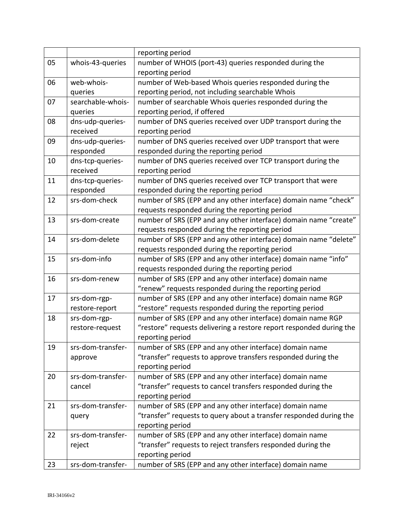|    |                   | reporting period                                                    |
|----|-------------------|---------------------------------------------------------------------|
| 05 | whois-43-queries  | number of WHOIS (port-43) queries responded during the              |
|    |                   | reporting period                                                    |
| 06 | web-whois-        | number of Web-based Whois queries responded during the              |
|    | queries           | reporting period, not including searchable Whois                    |
| 07 | searchable-whois- | number of searchable Whois queries responded during the             |
|    | queries           | reporting period, if offered                                        |
| 08 | dns-udp-queries-  | number of DNS queries received over UDP transport during the        |
|    | received          | reporting period                                                    |
| 09 | dns-udp-queries-  | number of DNS queries received over UDP transport that were         |
|    | responded         | responded during the reporting period                               |
| 10 | dns-tcp-queries-  | number of DNS queries received over TCP transport during the        |
|    | received          | reporting period                                                    |
| 11 | dns-tcp-queries-  | number of DNS queries received over TCP transport that were         |
|    | responded         | responded during the reporting period                               |
| 12 | srs-dom-check     | number of SRS (EPP and any other interface) domain name "check"     |
|    |                   | requests responded during the reporting period                      |
| 13 | srs-dom-create    | number of SRS (EPP and any other interface) domain name "create"    |
|    |                   | requests responded during the reporting period                      |
| 14 | srs-dom-delete    | number of SRS (EPP and any other interface) domain name "delete"    |
|    |                   | requests responded during the reporting period                      |
| 15 | srs-dom-info      | number of SRS (EPP and any other interface) domain name "info"      |
|    |                   | requests responded during the reporting period                      |
| 16 | srs-dom-renew     | number of SRS (EPP and any other interface) domain name             |
|    |                   | "renew" requests responded during the reporting period              |
| 17 | srs-dom-rgp-      | number of SRS (EPP and any other interface) domain name RGP         |
|    | restore-report    | "restore" requests responded during the reporting period            |
| 18 | srs-dom-rgp-      | number of SRS (EPP and any other interface) domain name RGP         |
|    | restore-request   | "restore" requests delivering a restore report responded during the |
|    |                   | reporting period                                                    |
| 19 | srs-dom-transfer- | number of SRS (EPP and any other interface) domain name             |
|    | approve           | "transfer" requests to approve transfers responded during the       |
|    |                   | reporting period                                                    |
| 20 | srs-dom-transfer- | number of SRS (EPP and any other interface) domain name             |
|    | cancel            | "transfer" requests to cancel transfers responded during the        |
|    |                   | reporting period                                                    |
| 21 | srs-dom-transfer- | number of SRS (EPP and any other interface) domain name             |
|    | query             | "transfer" requests to query about a transfer responded during the  |
|    |                   | reporting period                                                    |
| 22 | srs-dom-transfer- | number of SRS (EPP and any other interface) domain name             |
|    | reject            | "transfer" requests to reject transfers responded during the        |
|    |                   | reporting period                                                    |
| 23 | srs-dom-transfer- | number of SRS (EPP and any other interface) domain name             |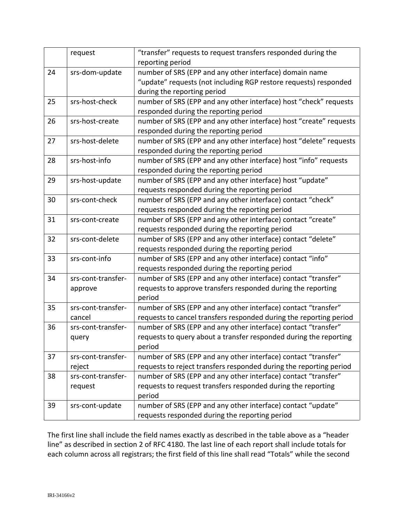|    | request            | "transfer" requests to request transfers responded during the      |  |  |  |
|----|--------------------|--------------------------------------------------------------------|--|--|--|
|    |                    | reporting period                                                   |  |  |  |
| 24 | srs-dom-update     | number of SRS (EPP and any other interface) domain name            |  |  |  |
|    |                    | "update" requests (not including RGP restore requests) responded   |  |  |  |
|    |                    | during the reporting period                                        |  |  |  |
| 25 | srs-host-check     | number of SRS (EPP and any other interface) host "check" requests  |  |  |  |
|    |                    | responded during the reporting period                              |  |  |  |
| 26 | srs-host-create    | number of SRS (EPP and any other interface) host "create" requests |  |  |  |
|    |                    | responded during the reporting period                              |  |  |  |
| 27 | srs-host-delete    | number of SRS (EPP and any other interface) host "delete" requests |  |  |  |
|    |                    | responded during the reporting period                              |  |  |  |
| 28 | srs-host-info      | number of SRS (EPP and any other interface) host "info" requests   |  |  |  |
|    |                    | responded during the reporting period                              |  |  |  |
| 29 | srs-host-update    | number of SRS (EPP and any other interface) host "update"          |  |  |  |
|    |                    | requests responded during the reporting period                     |  |  |  |
| 30 | srs-cont-check     | number of SRS (EPP and any other interface) contact "check"        |  |  |  |
|    |                    | requests responded during the reporting period                     |  |  |  |
| 31 | srs-cont-create    | number of SRS (EPP and any other interface) contact "create"       |  |  |  |
|    |                    | requests responded during the reporting period                     |  |  |  |
| 32 | srs-cont-delete    | number of SRS (EPP and any other interface) contact "delete"       |  |  |  |
|    |                    | requests responded during the reporting period                     |  |  |  |
| 33 | srs-cont-info      | number of SRS (EPP and any other interface) contact "info"         |  |  |  |
|    |                    | requests responded during the reporting period                     |  |  |  |
| 34 | srs-cont-transfer- | number of SRS (EPP and any other interface) contact "transfer"     |  |  |  |
|    | approve            | requests to approve transfers responded during the reporting       |  |  |  |
|    |                    | period                                                             |  |  |  |
| 35 | srs-cont-transfer- | number of SRS (EPP and any other interface) contact "transfer"     |  |  |  |
|    | cancel             | requests to cancel transfers responded during the reporting period |  |  |  |
| 36 | srs-cont-transfer- | number of SRS (EPP and any other interface) contact "transfer"     |  |  |  |
|    | query              | requests to query about a transfer responded during the reporting  |  |  |  |
|    |                    | period                                                             |  |  |  |
| 37 | srs-cont-transfer- | number of SRS (EPP and any other interface) contact "transfer"     |  |  |  |
|    | reject             | requests to reject transfers responded during the reporting period |  |  |  |
| 38 | srs-cont-transfer- | number of SRS (EPP and any other interface) contact "transfer"     |  |  |  |
|    | request            | requests to request transfers responded during the reporting       |  |  |  |
|    |                    | period                                                             |  |  |  |
| 39 | srs-cont-update    | number of SRS (EPP and any other interface) contact "update"       |  |  |  |
|    |                    | requests responded during the reporting period                     |  |  |  |

The first line shall include the field names exactly as described in the table above as a "header line" as described in section 2 of RFC 4180. The last line of each report shall include totals for each column across all registrars; the first field of this line shall read "Totals" while the second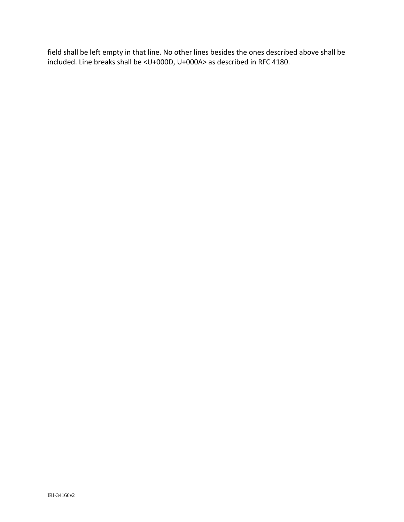field shall be left empty in that line. No other lines besides the ones described above shall be included. Line breaks shall be <U+000D, U+000A> as described in RFC 4180.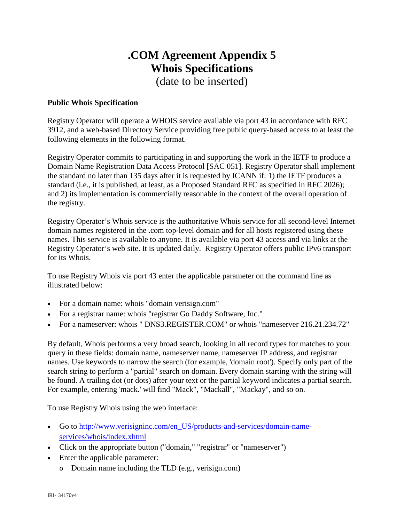# **.COM Agreement Appendix 5 Whois Specifications**

(date to be inserted)

#### **Public Whois Specification**

Registry Operator will operate a WHOIS service available via port 43 in accordance with RFC 3912, and a web-based Directory Service providing free public query-based access to at least the following elements in the following format.

Registry Operator commits to participating in and supporting the work in the IETF to produce a Domain Name Registration Data Access Protocol [SAC 051]. Registry Operator shall implement the standard no later than 135 days after it is requested by ICANN if: 1) the IETF produces a standard (i.e., it is published, at least, as a Proposed Standard RFC as specified in RFC 2026); and 2) its implementation is commercially reasonable in the context of the overall operation of the registry.

Registry Operator's Whois service is the authoritative Whois service for all second-level Internet domain names registered in the .com top-level domain and for all hosts registered using these names. This service is available to anyone. It is available via port 43 access and via links at the Registry Operator's web site. It is updated daily. Registry Operator offers public IPv6 transport for its Whois.

To use Registry Whois via port 43 enter the applicable parameter on the command line as illustrated below:

- For a domain name: whois "domain verisign.com"
- For a registrar name: whois "registrar Go Daddy Software, Inc."
- For a nameserver: whois " DNS3.REGISTER.COM" or whois "nameserver 216.21.234.72"

By default, Whois performs a very broad search, looking in all record types for matches to your query in these fields: domain name, nameserver name, nameserver IP address, and registrar names. Use keywords to narrow the search (for example, 'domain root'). Specify only part of the search string to perform a "partial" search on domain. Every domain starting with the string will be found. A trailing dot (or dots) after your text or the partial keyword indicates a partial search. For example, entering 'mack.' will find "Mack", "Mackall", "Mackay", and so on.

To use Registry Whois using the web interface:

- Go to [http://www.verisigninc.com/en\\_US/products-and-services/domain-name](http://www.verisigninc.com/en_US/products-and-services/domain-name-services/whois/index.xhtml)[services/whois/index.xhtml](http://www.verisigninc.com/en_US/products-and-services/domain-name-services/whois/index.xhtml)
- Click on the appropriate button ("domain," "registrar" or "nameserver")
- Enter the applicable parameter:
	- o Domain name including the TLD (e.g., verisign.com)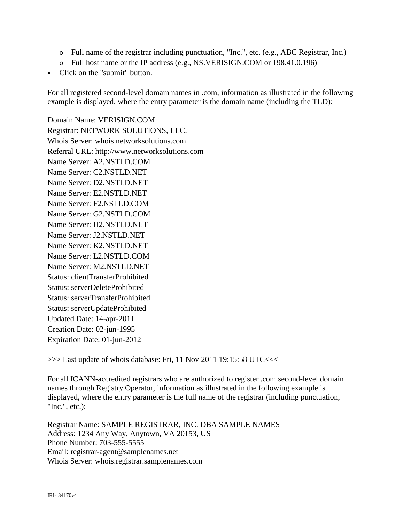- o Full name of the registrar including punctuation, "Inc.", etc. (e.g., ABC Registrar, Inc.)
- o Full host name or the IP address (e.g., NS.VERISIGN.COM or 198.41.0.196)
- Click on the "submit" button.

For all registered second-level domain names in .com, information as illustrated in the following example is displayed, where the entry parameter is the domain name (including the TLD):

Domain Name: VERISIGN.COM Registrar: NETWORK SOLUTIONS, LLC. Whois Server: whois.networksolutions.com Referral URL: http://www.networksolutions.com Name Server: A2.NSTLD.COM Name Server: C2.NSTLD.NET Name Server: D2.NSTLD.NET Name Server: E2.NSTLD.NET Name Server: F2.NSTLD.COM Name Server: G2.NSTLD.COM Name Server: H2.NSTLD.NET Name Server: J2.NSTLD.NET Name Server: K2.NSTLD.NET Name Server: L2.NSTLD.COM Name Server: M2.NSTLD.NET Status: clientTransferProhibited Status: serverDeleteProhibited Status: serverTransferProhibited Status: serverUpdateProhibited Updated Date: 14-apr-2011 Creation Date: 02-jun-1995 Expiration Date: 01-jun-2012

>>> Last update of whois database: Fri, 11 Nov 2011 19:15:58 UTC<<<

For all ICANN-accredited registrars who are authorized to register .com second-level domain names through Registry Operator, information as illustrated in the following example is displayed, where the entry parameter is the full name of the registrar (including punctuation, "Inc.", etc.):

Registrar Name: SAMPLE REGISTRAR, INC. DBA SAMPLE NAMES Address: 1234 Any Way, Anytown, VA 20153, US Phone Number: 703-555-5555 Email: registrar-agent@samplenames.net Whois Server: whois.registrar.samplenames.com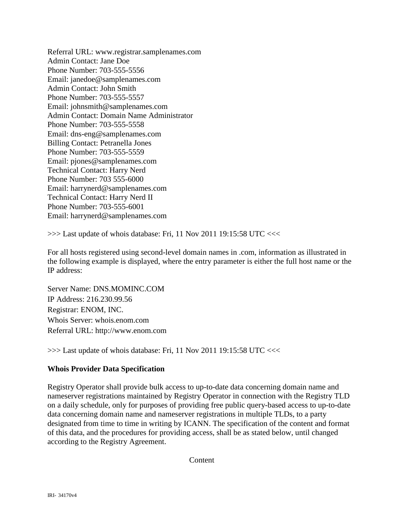Referral URL: www.registrar.samplenames.com Admin Contact: Jane Doe Phone Number: 703-555-5556 Email: janedoe@samplenames.com Admin Contact: John Smith Phone Number: 703-555-5557 Email: johnsmith@samplenames.com Admin Contact: Domain Name Administrator Phone Number: 703-555-5558 Email: dns-eng@samplenames.com Billing Contact: Petranella Jones Phone Number: 703-555-5559 Email: pjones@samplenames.com Technical Contact: Harry Nerd Phone Number: 703 555-6000 Email: harrynerd@samplenames.com Technical Contact: Harry Nerd II Phone Number: 703-555-6001 Email: harrynerd@samplenames.com

>>> Last update of whois database: Fri, 11 Nov 2011 19:15:58 UTC <<<

For all hosts registered using second-level domain names in .com, information as illustrated in the following example is displayed, where the entry parameter is either the full host name or the IP address:

Server Name: DNS.MOMINC.COM IP Address: 216.230.99.56 Registrar: ENOM, INC. Whois Server: whois.enom.com Referral URL: http://www.enom.com

>>> Last update of whois database: Fri, 11 Nov 2011 19:15:58 UTC <<<

#### **Whois Provider Data Specification**

Registry Operator shall provide bulk access to up-to-date data concerning domain name and nameserver registrations maintained by Registry Operator in connection with the Registry TLD on a daily schedule, only for purposes of providing free public query-based access to up-to-date data concerning domain name and nameserver registrations in multiple TLDs, to a party designated from time to time in writing by ICANN. The specification of the content and format of this data, and the procedures for providing access, shall be as stated below, until changed according to the Registry Agreement.

Content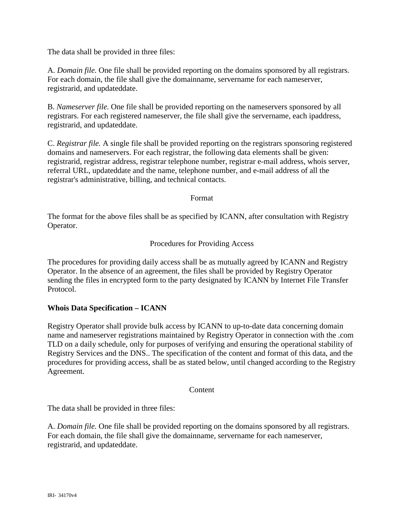The data shall be provided in three files:

A. *Domain file.* One file shall be provided reporting on the domains sponsored by all registrars. For each domain, the file shall give the domainname, servername for each nameserver, registrarid, and updateddate.

B. *Nameserver file.* One file shall be provided reporting on the nameservers sponsored by all registrars. For each registered nameserver, the file shall give the servername, each ipaddress, registrarid, and updateddate.

C. *Registrar file.* A single file shall be provided reporting on the registrars sponsoring registered domains and nameservers. For each registrar, the following data elements shall be given: registrarid, registrar address, registrar telephone number, registrar e-mail address, whois server, referral URL, updateddate and the name, telephone number, and e-mail address of all the registrar's administrative, billing, and technical contacts.

Format

The format for the above files shall be as specified by ICANN, after consultation with Registry Operator.

Procedures for Providing Access

The procedures for providing daily access shall be as mutually agreed by ICANN and Registry Operator. In the absence of an agreement, the files shall be provided by Registry Operator sending the files in encrypted form to the party designated by ICANN by Internet File Transfer Protocol.

## **Whois Data Specification – ICANN**

Registry Operator shall provide bulk access by ICANN to up-to-date data concerning domain name and nameserver registrations maintained by Registry Operator in connection with the .com TLD on a daily schedule, only for purposes of verifying and ensuring the operational stability of Registry Services and the DNS.. The specification of the content and format of this data, and the procedures for providing access, shall be as stated below, until changed according to the Registry Agreement.

**Content** 

The data shall be provided in three files:

A. *Domain file.* One file shall be provided reporting on the domains sponsored by all registrars. For each domain, the file shall give the domainname, servername for each nameserver, registrarid, and updateddate.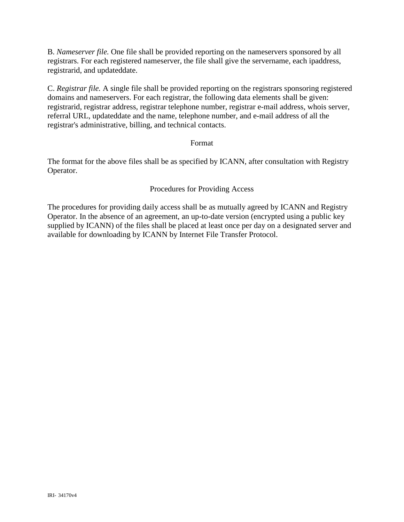B. *Nameserver file.* One file shall be provided reporting on the nameservers sponsored by all registrars. For each registered nameserver, the file shall give the servername, each ipaddress, registrarid, and updateddate.

C. *Registrar file.* A single file shall be provided reporting on the registrars sponsoring registered domains and nameservers. For each registrar, the following data elements shall be given: registrarid, registrar address, registrar telephone number, registrar e-mail address, whois server, referral URL, updateddate and the name, telephone number, and e-mail address of all the registrar's administrative, billing, and technical contacts.

#### Format

The format for the above files shall be as specified by ICANN, after consultation with Registry Operator.

#### Procedures for Providing Access

The procedures for providing daily access shall be as mutually agreed by ICANN and Registry Operator. In the absence of an agreement, an up-to-date version (encrypted using a public key supplied by ICANN) of the files shall be placed at least once per day on a designated server and available for downloading by ICANN by Internet File Transfer Protocol.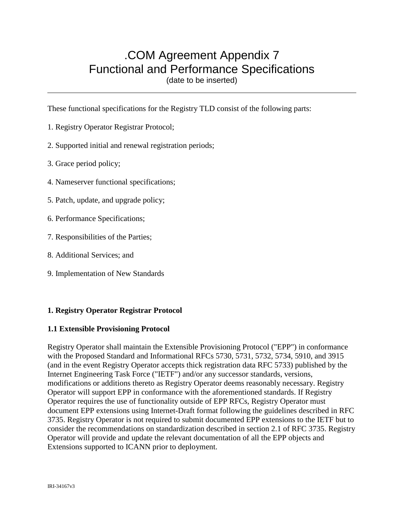# .COM Agreement Appendix 7 Functional and Performance Specifications

(date to be inserted)

These functional specifications for the Registry TLD consist of the following parts:

- 1. Registry Operator Registrar Protocol;
- 2. Supported initial and renewal registration periods;
- 3. Grace period policy;
- 4. Nameserver functional specifications;
- 5. Patch, update, and upgrade policy;
- 6. Performance Specifications;
- 7. Responsibilities of the Parties;
- 8. Additional Services; and
- 9. Implementation of New Standards

## **1. Registry Operator Registrar Protocol**

## **1.1 Extensible Provisioning Protocol**

Registry Operator shall maintain the Extensible Provisioning Protocol ("EPP") in conformance with the Proposed Standard and Informational RFCs 5730, 5731, 5732, 5734, 5910, and 3915 (and in the event Registry Operator accepts thick registration data RFC 5733) published by the Internet Engineering Task Force ("IETF") and/or any successor standards, versions, modifications or additions thereto as Registry Operator deems reasonably necessary. Registry Operator will support EPP in conformance with the aforementioned standards. If Registry Operator requires the use of functionality outside of EPP RFCs, Registry Operator must document EPP extensions using Internet-Draft format following the guidelines described in RFC 3735. Registry Operator is not required to submit documented EPP extensions to the IETF but to consider the recommendations on standardization described in section 2.1 of RFC 3735. Registry Operator will provide and update the relevant documentation of all the EPP objects and Extensions supported to ICANN prior to deployment.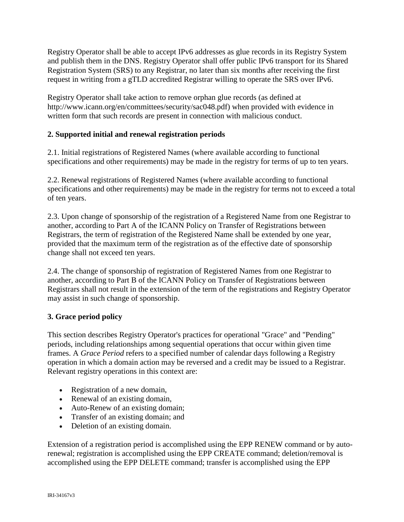Registry Operator shall be able to accept IPv6 addresses as glue records in its Registry System and publish them in the DNS. Registry Operator shall offer public IPv6 transport for its Shared Registration System (SRS) to any Registrar, no later than six months after receiving the first request in writing from a gTLD accredited Registrar willing to operate the SRS over IPv6.

Registry Operator shall take action to remove orphan glue records (as defined at http://www.icann.org/en/committees/security/sac048.pdf) when provided with evidence in written form that such records are present in connection with malicious conduct.

## **2. Supported initial and renewal registration periods**

2.1. Initial registrations of Registered Names (where available according to functional specifications and other requirements) may be made in the registry for terms of up to ten years.

2.2. Renewal registrations of Registered Names (where available according to functional specifications and other requirements) may be made in the registry for terms not to exceed a total of ten years.

2.3. Upon change of sponsorship of the registration of a Registered Name from one Registrar to another, according to Part A of the ICANN Policy on Transfer of Registrations between Registrars, the term of registration of the Registered Name shall be extended by one year, provided that the maximum term of the registration as of the effective date of sponsorship change shall not exceed ten years.

2.4. The change of sponsorship of registration of Registered Names from one Registrar to another, according to Part B of the ICANN Policy on Transfer of Registrations between Registrars shall not result in the extension of the term of the registrations and Registry Operator may assist in such change of sponsorship.

## **3. Grace period policy**

This section describes Registry Operator's practices for operational "Grace" and "Pending" periods, including relationships among sequential operations that occur within given time frames. A *Grace Period* refers to a specified number of calendar days following a Registry operation in which a domain action may be reversed and a credit may be issued to a Registrar. Relevant registry operations in this context are:

- Registration of a new domain,
- Renewal of an existing domain,
- Auto-Renew of an existing domain;
- Transfer of an existing domain; and
- Deletion of an existing domain.

Extension of a registration period is accomplished using the EPP RENEW command or by autorenewal; registration is accomplished using the EPP CREATE command; deletion/removal is accomplished using the EPP DELETE command; transfer is accomplished using the EPP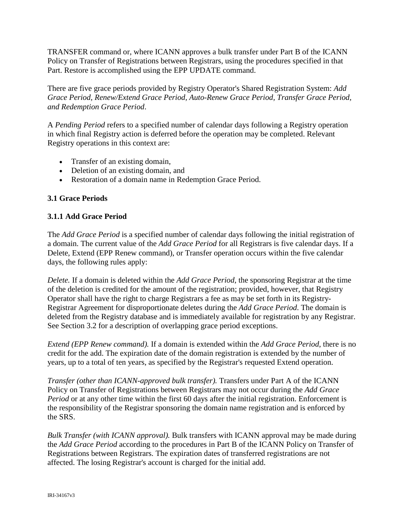TRANSFER command or, where ICANN approves a bulk transfer under Part B of the ICANN Policy on Transfer of Registrations between Registrars, using the procedures specified in that Part. Restore is accomplished using the EPP UPDATE command.

There are five grace periods provided by Registry Operator's Shared Registration System: *Add Grace Period, Renew/Extend Grace Period, Auto-Renew Grace Period, Transfer Grace Period, and Redemption Grace Period*.

A *Pending Period* refers to a specified number of calendar days following a Registry operation in which final Registry action is deferred before the operation may be completed. Relevant Registry operations in this context are:

- Transfer of an existing domain,
- Deletion of an existing domain, and
- Restoration of a domain name in Redemption Grace Period.

## **3.1 Grace Periods**

## **3.1.1 Add Grace Period**

The *Add Grace Period* is a specified number of calendar days following the initial registration of a domain. The current value of the *Add Grace Period* for all Registrars is five calendar days. If a Delete, Extend (EPP Renew command), or Transfer operation occurs within the five calendar days, the following rules apply:

*Delete.* If a domain is deleted within the *Add Grace Period*, the sponsoring Registrar at the time of the deletion is credited for the amount of the registration; provided, however, that Registry Operator shall have the right to charge Registrars a fee as may be set forth in its Registry-Registrar Agreement for disproportionate deletes during the *Add Grace Period*. The domain is deleted from the Registry database and is immediately available for registration by any Registrar. See Section 3.2 for a description of overlapping grace period exceptions.

*Extend (EPP Renew command).* If a domain is extended within the *Add Grace Period*, there is no credit for the add. The expiration date of the domain registration is extended by the number of years, up to a total of ten years, as specified by the Registrar's requested Extend operation.

*Transfer (other than ICANN-approved bulk transfer).* Transfers under Part A of the ICANN Policy on Transfer of Registrations between Registrars may not occur during the *Add Grace Period* or at any other time within the first 60 days after the initial registration. Enforcement is the responsibility of the Registrar sponsoring the domain name registration and is enforced by the SRS.

*Bulk Transfer (with ICANN approval).* Bulk transfers with ICANN approval may be made during the *Add Grace Period* according to the procedures in Part B of the ICANN Policy on Transfer of Registrations between Registrars. The expiration dates of transferred registrations are not affected. The losing Registrar's account is charged for the initial add.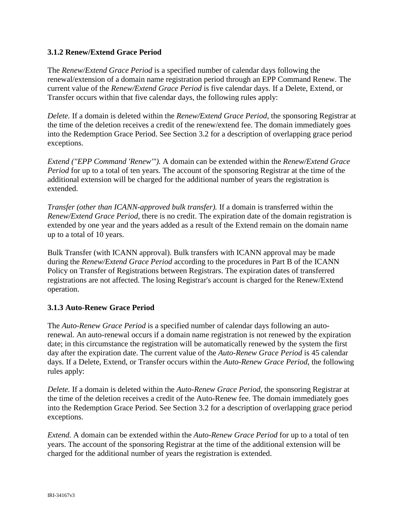## **3.1.2 Renew/Extend Grace Period**

The *Renew/Extend Grace Period* is a specified number of calendar days following the renewal/extension of a domain name registration period through an EPP Command Renew. The current value of the *Renew/Extend Grace Period* is five calendar days. If a Delete, Extend, or Transfer occurs within that five calendar days, the following rules apply:

*Delete.* If a domain is deleted within the *Renew/Extend Grace Period*, the sponsoring Registrar at the time of the deletion receives a credit of the renew/extend fee. The domain immediately goes into the Redemption Grace Period. See Section 3.2 for a description of overlapping grace period exceptions.

*Extend ("EPP Command 'Renew'").* A domain can be extended within the *Renew/Extend Grace Period* for up to a total of ten years. The account of the sponsoring Registrar at the time of the additional extension will be charged for the additional number of years the registration is extended.

*Transfer (other than ICANN-approved bulk transfer).* If a domain is transferred within the *Renew/Extend Grace Period*, there is no credit. The expiration date of the domain registration is extended by one year and the years added as a result of the Extend remain on the domain name up to a total of 10 years.

Bulk Transfer (with ICANN approval). Bulk transfers with ICANN approval may be made during the *Renew/Extend Grace Period* according to the procedures in Part B of the ICANN Policy on Transfer of Registrations between Registrars. The expiration dates of transferred registrations are not affected. The losing Registrar's account is charged for the Renew/Extend operation.

## **3.1.3 Auto-Renew Grace Period**

The *Auto-Renew Grace Period* is a specified number of calendar days following an autorenewal. An auto-renewal occurs if a domain name registration is not renewed by the expiration date; in this circumstance the registration will be automatically renewed by the system the first day after the expiration date. The current value of the *Auto-Renew Grace Period* is 45 calendar days. If a Delete, Extend, or Transfer occurs within the *Auto-Renew Grace Period*, the following rules apply:

*Delete.* If a domain is deleted within the *Auto-Renew Grace Period*, the sponsoring Registrar at the time of the deletion receives a credit of the Auto-Renew fee. The domain immediately goes into the Redemption Grace Period. See Section 3.2 for a description of overlapping grace period exceptions.

*Extend.* A domain can be extended within the *Auto-Renew Grace Period* for up to a total of ten years. The account of the sponsoring Registrar at the time of the additional extension will be charged for the additional number of years the registration is extended.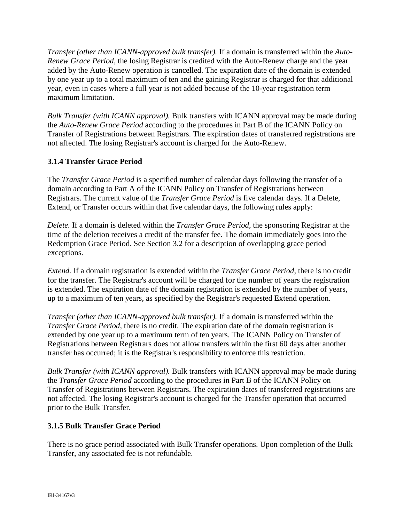*Transfer (other than ICANN-approved bulk transfer).* If a domain is transferred within the *Auto-Renew Grace Period*, the losing Registrar is credited with the Auto-Renew charge and the year added by the Auto-Renew operation is cancelled. The expiration date of the domain is extended by one year up to a total maximum of ten and the gaining Registrar is charged for that additional year, even in cases where a full year is not added because of the 10-year registration term maximum limitation.

*Bulk Transfer (with ICANN approval).* Bulk transfers with ICANN approval may be made during the *Auto-Renew Grace Period* according to the procedures in Part B of the ICANN Policy on Transfer of Registrations between Registrars. The expiration dates of transferred registrations are not affected. The losing Registrar's account is charged for the Auto-Renew.

## **3.1.4 Transfer Grace Period**

The *Transfer Grace Period* is a specified number of calendar days following the transfer of a domain according to Part A of the ICANN Policy on Transfer of Registrations between Registrars. The current value of the *Transfer Grace Period* is five calendar days. If a Delete, Extend, or Transfer occurs within that five calendar days, the following rules apply:

*Delete.* If a domain is deleted within the *Transfer Grace Period*, the sponsoring Registrar at the time of the deletion receives a credit of the transfer fee. The domain immediately goes into the Redemption Grace Period. See Section 3.2 for a description of overlapping grace period exceptions.

*Extend.* If a domain registration is extended within the *Transfer Grace Period*, there is no credit for the transfer. The Registrar's account will be charged for the number of years the registration is extended. The expiration date of the domain registration is extended by the number of years, up to a maximum of ten years, as specified by the Registrar's requested Extend operation.

*Transfer (other than ICANN-approved bulk transfer).* If a domain is transferred within the *Transfer Grace Period*, there is no credit. The expiration date of the domain registration is extended by one year up to a maximum term of ten years. The ICANN Policy on Transfer of Registrations between Registrars does not allow transfers within the first 60 days after another transfer has occurred; it is the Registrar's responsibility to enforce this restriction.

*Bulk Transfer (with ICANN approval).* Bulk transfers with ICANN approval may be made during the *Transfer Grace Period* according to the procedures in Part B of the ICANN Policy on Transfer of Registrations between Registrars. The expiration dates of transferred registrations are not affected. The losing Registrar's account is charged for the Transfer operation that occurred prior to the Bulk Transfer.

## **3.1.5 Bulk Transfer Grace Period**

There is no grace period associated with Bulk Transfer operations. Upon completion of the Bulk Transfer, any associated fee is not refundable.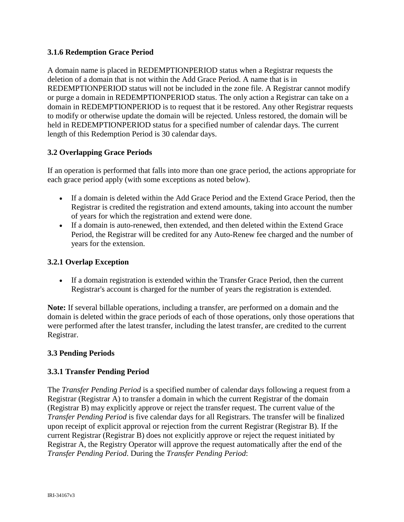## **3.1.6 Redemption Grace Period**

A domain name is placed in REDEMPTIONPERIOD status when a Registrar requests the deletion of a domain that is not within the Add Grace Period. A name that is in REDEMPTIONPERIOD status will not be included in the zone file. A Registrar cannot modify or purge a domain in REDEMPTIONPERIOD status. The only action a Registrar can take on a domain in REDEMPTIONPERIOD is to request that it be restored. Any other Registrar requests to modify or otherwise update the domain will be rejected. Unless restored, the domain will be held in REDEMPTIONPERIOD status for a specified number of calendar days. The current length of this Redemption Period is 30 calendar days.

## **3.2 Overlapping Grace Periods**

If an operation is performed that falls into more than one grace period, the actions appropriate for each grace period apply (with some exceptions as noted below).

- If a domain is deleted within the Add Grace Period and the Extend Grace Period, then the Registrar is credited the registration and extend amounts, taking into account the number of years for which the registration and extend were done.
- If a domain is auto-renewed, then extended, and then deleted within the Extend Grace Period, the Registrar will be credited for any Auto-Renew fee charged and the number of years for the extension.

#### **3.2.1 Overlap Exception**

• If a domain registration is extended within the Transfer Grace Period, then the current Registrar's account is charged for the number of years the registration is extended.

**Note:** If several billable operations, including a transfer, are performed on a domain and the domain is deleted within the grace periods of each of those operations, only those operations that were performed after the latest transfer, including the latest transfer, are credited to the current Registrar.

#### **3.3 Pending Periods**

#### **3.3.1 Transfer Pending Period**

The *Transfer Pending Period* is a specified number of calendar days following a request from a Registrar (Registrar A) to transfer a domain in which the current Registrar of the domain (Registrar B) may explicitly approve or reject the transfer request. The current value of the *Transfer Pending Period* is five calendar days for all Registrars. The transfer will be finalized upon receipt of explicit approval or rejection from the current Registrar (Registrar B). If the current Registrar (Registrar B) does not explicitly approve or reject the request initiated by Registrar A, the Registry Operator will approve the request automatically after the end of the *Transfer Pending Period*. During the *Transfer Pending Period*: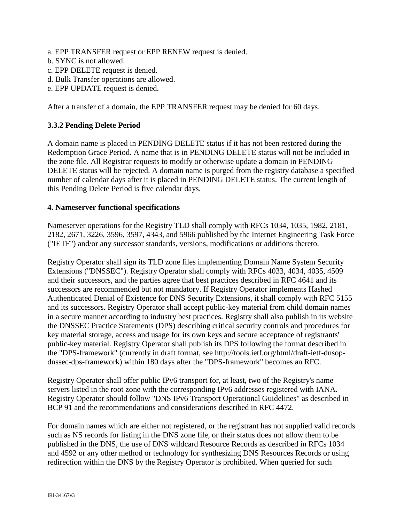- a. EPP TRANSFER request or EPP RENEW request is denied.
- b. SYNC is not allowed.
- c. EPP DELETE request is denied.
- d. Bulk Transfer operations are allowed.
- e. EPP UPDATE request is denied.

After a transfer of a domain, the EPP TRANSFER request may be denied for 60 days.

## **3.3.2 Pending Delete Period**

A domain name is placed in PENDING DELETE status if it has not been restored during the Redemption Grace Period. A name that is in PENDING DELETE status will not be included in the zone file. All Registrar requests to modify or otherwise update a domain in PENDING DELETE status will be rejected. A domain name is purged from the registry database a specified number of calendar days after it is placed in PENDING DELETE status. The current length of this Pending Delete Period is five calendar days.

#### **4. Nameserver functional specifications**

Nameserver operations for the Registry TLD shall comply with RFCs 1034, 1035, 1982, 2181, 2182, 2671, 3226, 3596, 3597, 4343, and 5966 published by the Internet Engineering Task Force ("IETF") and/or any successor standards, versions, modifications or additions thereto.

Registry Operator shall sign its TLD zone files implementing Domain Name System Security Extensions ("DNSSEC"). Registry Operator shall comply with RFCs 4033, 4034, 4035, 4509 and their successors, and the parties agree that best practices described in RFC 4641 and its successors are recommended but not mandatory. If Registry Operator implements Hashed Authenticated Denial of Existence for DNS Security Extensions, it shall comply with RFC 5155 and its successors. Registry Operator shall accept public-key material from child domain names in a secure manner according to industry best practices. Registry shall also publish in its website the DNSSEC Practice Statements (DPS) describing critical security controls and procedures for key material storage, access and usage for its own keys and secure acceptance of registrants' public-key material. Registry Operator shall publish its DPS following the format described in the "DPS-framework" (currently in draft format, see http://tools.ietf.org/html/draft-ietf-dnsopdnssec-dps-framework) within 180 days after the "DPS-framework" becomes an RFC.

Registry Operator shall offer public IPv6 transport for, at least, two of the Registry's name servers listed in the root zone with the corresponding IPv6 addresses registered with IANA. Registry Operator should follow "DNS IPv6 Transport Operational Guidelines" as described in BCP 91 and the recommendations and considerations described in RFC 4472.

For domain names which are either not registered, or the registrant has not supplied valid records such as NS records for listing in the DNS zone file, or their status does not allow them to be published in the DNS, the use of DNS wildcard Resource Records as described in RFCs 1034 and 4592 or any other method or technology for synthesizing DNS Resources Records or using redirection within the DNS by the Registry Operator is prohibited. When queried for such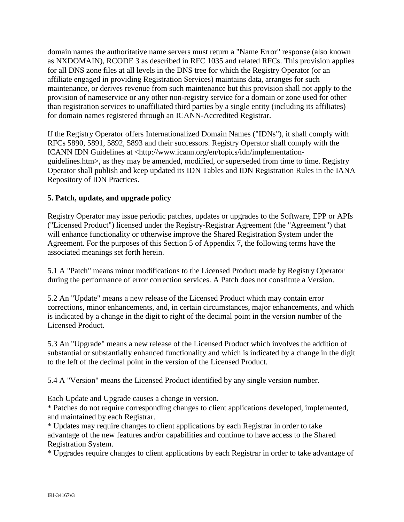domain names the authoritative name servers must return a "Name Error" response (also known as NXDOMAIN), RCODE 3 as described in RFC 1035 and related RFCs. This provision applies for all DNS zone files at all levels in the DNS tree for which the Registry Operator (or an affiliate engaged in providing Registration Services) maintains data, arranges for such maintenance, or derives revenue from such maintenance but this provision shall not apply to the provision of nameservice or any other non-registry service for a domain or zone used for other than registration services to unaffiliated third parties by a single entity (including its affiliates) for domain names registered through an ICANN-Accredited Registrar.

If the Registry Operator offers Internationalized Domain Names ("IDNs"), it shall comply with RFCs 5890, 5891, 5892, 5893 and their successors. Registry Operator shall comply with the ICANN IDN Guidelines at <http://www.icann.org/en/topics/idn/implementationguidelines.htm>, as they may be amended, modified, or superseded from time to time. Registry Operator shall publish and keep updated its IDN Tables and IDN Registration Rules in the IANA Repository of IDN Practices.

## **5. Patch, update, and upgrade policy**

Registry Operator may issue periodic patches, updates or upgrades to the Software, EPP or APIs ("Licensed Product") licensed under the Registry-Registrar Agreement (the "Agreement") that will enhance functionality or otherwise improve the Shared Registration System under the Agreement. For the purposes of this Section 5 of Appendix 7, the following terms have the associated meanings set forth herein.

5.1 A "Patch" means minor modifications to the Licensed Product made by Registry Operator during the performance of error correction services. A Patch does not constitute a Version.

5.2 An "Update" means a new release of the Licensed Product which may contain error corrections, minor enhancements, and, in certain circumstances, major enhancements, and which is indicated by a change in the digit to right of the decimal point in the version number of the Licensed Product.

5.3 An "Upgrade" means a new release of the Licensed Product which involves the addition of substantial or substantially enhanced functionality and which is indicated by a change in the digit to the left of the decimal point in the version of the Licensed Product.

5.4 A "Version" means the Licensed Product identified by any single version number.

Each Update and Upgrade causes a change in version.

\* Patches do not require corresponding changes to client applications developed, implemented, and maintained by each Registrar.

\* Updates may require changes to client applications by each Registrar in order to take advantage of the new features and/or capabilities and continue to have access to the Shared Registration System.

\* Upgrades require changes to client applications by each Registrar in order to take advantage of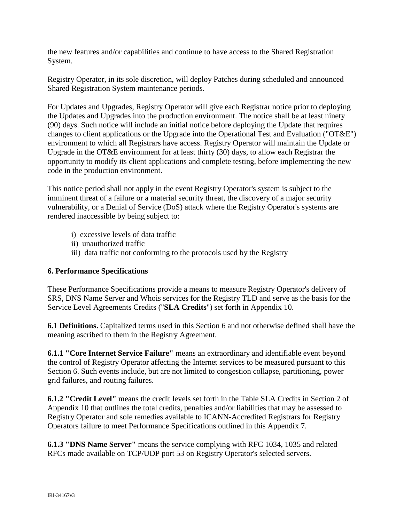the new features and/or capabilities and continue to have access to the Shared Registration System.

Registry Operator, in its sole discretion, will deploy Patches during scheduled and announced Shared Registration System maintenance periods.

For Updates and Upgrades, Registry Operator will give each Registrar notice prior to deploying the Updates and Upgrades into the production environment. The notice shall be at least ninety (90) days. Such notice will include an initial notice before deploying the Update that requires changes to client applications or the Upgrade into the Operational Test and Evaluation ("OT&E") environment to which all Registrars have access. Registry Operator will maintain the Update or Upgrade in the OT&E environment for at least thirty (30) days, to allow each Registrar the opportunity to modify its client applications and complete testing, before implementing the new code in the production environment.

This notice period shall not apply in the event Registry Operator's system is subject to the imminent threat of a failure or a material security threat, the discovery of a major security vulnerability, or a Denial of Service (DoS) attack where the Registry Operator's systems are rendered inaccessible by being subject to:

- i) excessive levels of data traffic
- ii) unauthorized traffic
- iii) data traffic not conforming to the protocols used by the Registry

#### **6. Performance Specifications**

These Performance Specifications provide a means to measure Registry Operator's delivery of SRS, DNS Name Server and Whois services for the Registry TLD and serve as the basis for the Service Level Agreements Credits ("**SLA Credits**") set forth in Appendix 10.

**6.1 Definitions.** Capitalized terms used in this Section 6 and not otherwise defined shall have the meaning ascribed to them in the Registry Agreement.

**6.1.1 "Core Internet Service Failure"** means an extraordinary and identifiable event beyond the control of Registry Operator affecting the Internet services to be measured pursuant to this Section 6. Such events include, but are not limited to congestion collapse, partitioning, power grid failures, and routing failures.

**6.1.2 "Credit Level"** means the credit levels set forth in the Table SLA Credits in Section 2 of Appendix 10 that outlines the total credits, penalties and/or liabilities that may be assessed to Registry Operator and sole remedies available to ICANN-Accredited Registrars for Registry Operators failure to meet Performance Specifications outlined in this Appendix 7.

**6.1.3 "DNS Name Server"** means the service complying with RFC 1034, 1035 and related RFCs made available on TCP/UDP port 53 on Registry Operator's selected servers.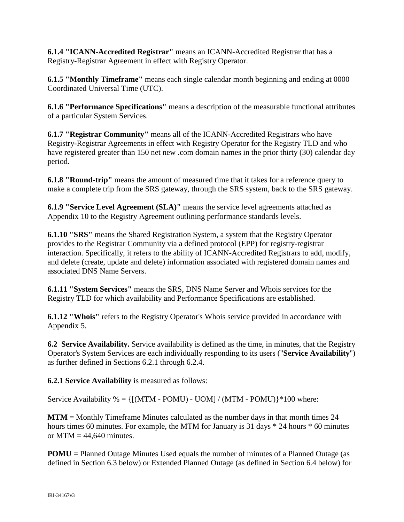**6.1.4 "ICANN-Accredited Registrar"** means an ICANN-Accredited Registrar that has a Registry-Registrar Agreement in effect with Registry Operator.

**6.1.5 "Monthly Timeframe"** means each single calendar month beginning and ending at 0000 Coordinated Universal Time (UTC).

**6.1.6 "Performance Specifications"** means a description of the measurable functional attributes of a particular System Services.

**6.1.7 "Registrar Community"** means all of the ICANN-Accredited Registrars who have Registry-Registrar Agreements in effect with Registry Operator for the Registry TLD and who have registered greater than 150 net new .com domain names in the prior thirty (30) calendar day period.

**6.1.8 "Round-trip"** means the amount of measured time that it takes for a reference query to make a complete trip from the SRS gateway, through the SRS system, back to the SRS gateway.

**6.1.9 "Service Level Agreement (SLA)"** means the service level agreements attached as Appendix 10 to the Registry Agreement outlining performance standards levels.

**6.1.10 "SRS"** means the Shared Registration System, a system that the Registry Operator provides to the Registrar Community via a defined protocol (EPP) for registry-registrar interaction. Specifically, it refers to the ability of ICANN-Accredited Registrars to add, modify, and delete (create, update and delete) information associated with registered domain names and associated DNS Name Servers.

**6.1.11 "System Services"** means the SRS, DNS Name Server and Whois services for the Registry TLD for which availability and Performance Specifications are established.

**6.1.12 "Whois"** refers to the Registry Operator's Whois service provided in accordance with Appendix 5.

**6.2 Service Availability.** Service availability is defined as the time, in minutes, that the Registry Operator's System Services are each individually responding to its users ("**Service Availability**") as further defined in Sections 6.2.1 through 6.2.4.

**6.2.1 Service Availability** is measured as follows:

Service Availability  $\% = \{[(MTM - POMU) - UOM]/(MTM - POMU)\}$  \*100 where:

**MTM** = Monthly Timeframe Minutes calculated as the number days in that month times 24 hours times 60 minutes. For example, the MTM for January is 31 days  $*$  24 hours  $*$  60 minutes or  $MTM = 44,640$  minutes.

**POMU** = Planned Outage Minutes Used equals the number of minutes of a Planned Outage (as defined in Section 6.3 below) or Extended Planned Outage (as defined in Section 6.4 below) for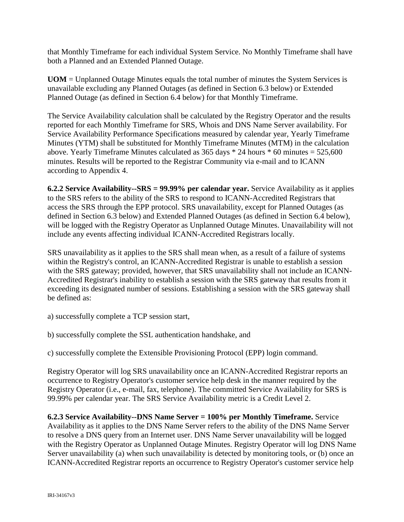that Monthly Timeframe for each individual System Service. No Monthly Timeframe shall have both a Planned and an Extended Planned Outage.

**UOM** = Unplanned Outage Minutes equals the total number of minutes the System Services is unavailable excluding any Planned Outages (as defined in Section 6.3 below) or Extended Planned Outage (as defined in Section 6.4 below) for that Monthly Timeframe.

The Service Availability calculation shall be calculated by the Registry Operator and the results reported for each Monthly Timeframe for SRS, Whois and DNS Name Server availability. For Service Availability Performance Specifications measured by calendar year, Yearly Timeframe Minutes (YTM) shall be substituted for Monthly Timeframe Minutes (MTM) in the calculation above. Yearly Timeframe Minutes calculated as  $365$  days  $*$  24 hours  $*$  60 minutes =  $525,600$ minutes. Results will be reported to the Registrar Community via e-mail and to ICANN according to Appendix 4.

**6.2.2 Service Availability--SRS = 99.99% per calendar year.** Service Availability as it applies to the SRS refers to the ability of the SRS to respond to ICANN-Accredited Registrars that access the SRS through the EPP protocol. SRS unavailability, except for Planned Outages (as defined in Section 6.3 below) and Extended Planned Outages (as defined in Section 6.4 below), will be logged with the Registry Operator as Unplanned Outage Minutes. Unavailability will not include any events affecting individual ICANN-Accredited Registrars locally.

SRS unavailability as it applies to the SRS shall mean when, as a result of a failure of systems within the Registry's control, an ICANN-Accredited Registrar is unable to establish a session with the SRS gateway; provided, however, that SRS unavailability shall not include an ICANN-Accredited Registrar's inability to establish a session with the SRS gateway that results from it exceeding its designated number of sessions. Establishing a session with the SRS gateway shall be defined as:

- a) successfully complete a TCP session start,
- b) successfully complete the SSL authentication handshake, and

c) successfully complete the Extensible Provisioning Protocol (EPP) login command.

Registry Operator will log SRS unavailability once an ICANN-Accredited Registrar reports an occurrence to Registry Operator's customer service help desk in the manner required by the Registry Operator (i.e., e-mail, fax, telephone). The committed Service Availability for SRS is 99.99% per calendar year. The SRS Service Availability metric is a Credit Level 2.

**6.2.3 Service Availability--DNS Name Server = 100% per Monthly Timeframe.** Service Availability as it applies to the DNS Name Server refers to the ability of the DNS Name Server to resolve a DNS query from an Internet user. DNS Name Server unavailability will be logged with the Registry Operator as Unplanned Outage Minutes. Registry Operator will log DNS Name Server unavailability (a) when such unavailability is detected by monitoring tools, or (b) once an ICANN-Accredited Registrar reports an occurrence to Registry Operator's customer service help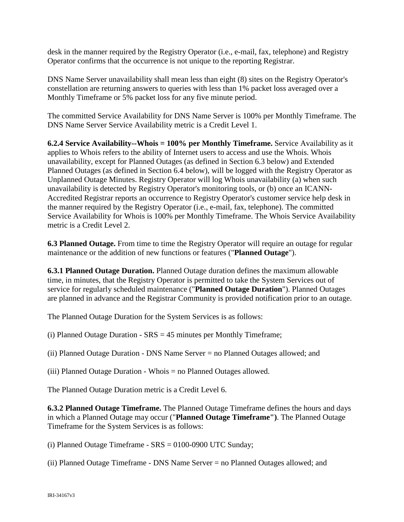desk in the manner required by the Registry Operator (i.e., e-mail, fax, telephone) and Registry Operator confirms that the occurrence is not unique to the reporting Registrar.

DNS Name Server unavailability shall mean less than eight (8) sites on the Registry Operator's constellation are returning answers to queries with less than 1% packet loss averaged over a Monthly Timeframe or 5% packet loss for any five minute period.

The committed Service Availability for DNS Name Server is 100% per Monthly Timeframe. The DNS Name Server Service Availability metric is a Credit Level 1.

**6.2.4 Service Availability--Whois = 100% per Monthly Timeframe.** Service Availability as it applies to Whois refers to the ability of Internet users to access and use the Whois. Whois unavailability, except for Planned Outages (as defined in Section 6.3 below) and Extended Planned Outages (as defined in Section 6.4 below), will be logged with the Registry Operator as Unplanned Outage Minutes. Registry Operator will log Whois unavailability (a) when such unavailability is detected by Registry Operator's monitoring tools, or (b) once an ICANN-Accredited Registrar reports an occurrence to Registry Operator's customer service help desk in the manner required by the Registry Operator (i.e., e-mail, fax, telephone). The committed Service Availability for Whois is 100% per Monthly Timeframe. The Whois Service Availability metric is a Credit Level 2.

**6.3 Planned Outage.** From time to time the Registry Operator will require an outage for regular maintenance or the addition of new functions or features ("**Planned Outage**").

**6.3.1 Planned Outage Duration.** Planned Outage duration defines the maximum allowable time, in minutes, that the Registry Operator is permitted to take the System Services out of service for regularly scheduled maintenance ("**Planned Outage Duration**"). Planned Outages are planned in advance and the Registrar Community is provided notification prior to an outage.

The Planned Outage Duration for the System Services is as follows:

(i) Planned Outage Duration - SRS = 45 minutes per Monthly Timeframe;

(ii) Planned Outage Duration - DNS Name Server = no Planned Outages allowed; and

(iii) Planned Outage Duration - Whois = no Planned Outages allowed.

The Planned Outage Duration metric is a Credit Level 6.

**6.3.2 Planned Outage Timeframe.** The Planned Outage Timeframe defines the hours and days in which a Planned Outage may occur ("**Planned Outage Timeframe")**. The Planned Outage Timeframe for the System Services is as follows:

(i) Planned Outage Timeframe - SRS = 0100-0900 UTC Sunday;

(ii) Planned Outage Timeframe - DNS Name Server = no Planned Outages allowed; and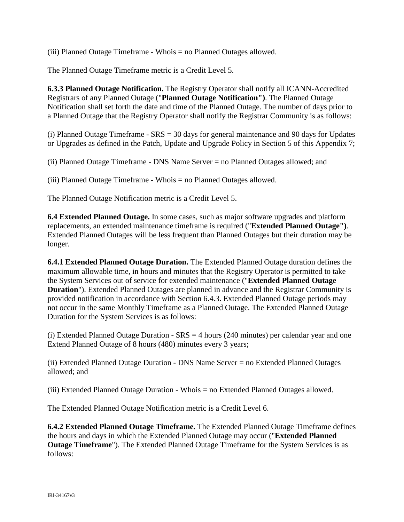(iii) Planned Outage Timeframe - Whois = no Planned Outages allowed.

The Planned Outage Timeframe metric is a Credit Level 5.

**6.3.3 Planned Outage Notification.** The Registry Operator shall notify all ICANN-Accredited Registrars of any Planned Outage ("**Planned Outage Notification")**. The Planned Outage Notification shall set forth the date and time of the Planned Outage. The number of days prior to a Planned Outage that the Registry Operator shall notify the Registrar Community is as follows:

(i) Planned Outage Timeframe - SRS = 30 days for general maintenance and 90 days for Updates or Upgrades as defined in the Patch, Update and Upgrade Policy in Section 5 of this Appendix 7;

(ii) Planned Outage Timeframe - DNS Name Server = no Planned Outages allowed; and

(iii) Planned Outage Timeframe - Whois = no Planned Outages allowed.

The Planned Outage Notification metric is a Credit Level 5.

**6.4 Extended Planned Outage.** In some cases, such as major software upgrades and platform replacements, an extended maintenance timeframe is required ("**Extended Planned Outage")**. Extended Planned Outages will be less frequent than Planned Outages but their duration may be longer.

**6.4.1 Extended Planned Outage Duration.** The Extended Planned Outage duration defines the maximum allowable time, in hours and minutes that the Registry Operator is permitted to take the System Services out of service for extended maintenance ("**Extended Planned Outage Duration**"). Extended Planned Outages are planned in advance and the Registrar Community is provided notification in accordance with Section 6.4.3. Extended Planned Outage periods may not occur in the same Monthly Timeframe as a Planned Outage. The Extended Planned Outage Duration for the System Services is as follows:

(i) Extended Planned Outage Duration - SRS = 4 hours (240 minutes) per calendar year and one Extend Planned Outage of 8 hours (480) minutes every 3 years;

(ii) Extended Planned Outage Duration - DNS Name Server = no Extended Planned Outages allowed; and

(iii) Extended Planned Outage Duration - Whois = no Extended Planned Outages allowed.

The Extended Planned Outage Notification metric is a Credit Level 6.

**6.4.2 Extended Planned Outage Timeframe.** The Extended Planned Outage Timeframe defines the hours and days in which the Extended Planned Outage may occur ("**Extended Planned Outage Timeframe**"). The Extended Planned Outage Timeframe for the System Services is as follows: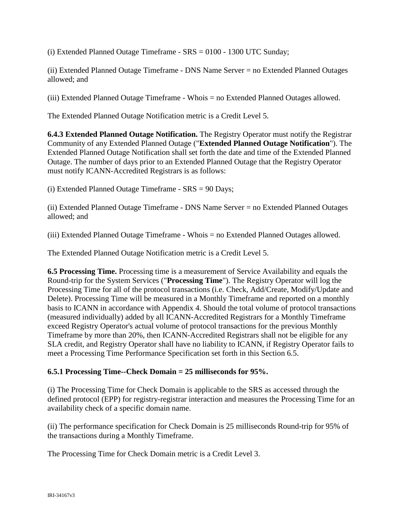(i) Extended Planned Outage Timeframe - SRS = 0100 - 1300 UTC Sunday;

(ii) Extended Planned Outage Timeframe - DNS Name Server = no Extended Planned Outages allowed; and

(iii) Extended Planned Outage Timeframe - Whois = no Extended Planned Outages allowed.

The Extended Planned Outage Notification metric is a Credit Level 5.

**6.4.3 Extended Planned Outage Notification.** The Registry Operator must notify the Registrar Community of any Extended Planned Outage ("**Extended Planned Outage Notification**"). The Extended Planned Outage Notification shall set forth the date and time of the Extended Planned Outage. The number of days prior to an Extended Planned Outage that the Registry Operator must notify ICANN-Accredited Registrars is as follows:

(i) Extended Planned Outage Timeframe - SRS = 90 Days;

(ii) Extended Planned Outage Timeframe - DNS Name Server = no Extended Planned Outages allowed; and

(iii) Extended Planned Outage Timeframe - Whois = no Extended Planned Outages allowed.

The Extended Planned Outage Notification metric is a Credit Level 5.

**6.5 Processing Time.** Processing time is a measurement of Service Availability and equals the Round-trip for the System Services ("**Processing Time**"). The Registry Operator will log the Processing Time for all of the protocol transactions (i.e. Check, Add/Create, Modify/Update and Delete). Processing Time will be measured in a Monthly Timeframe and reported on a monthly basis to ICANN in accordance with Appendix 4. Should the total volume of protocol transactions (measured individually) added by all ICANN-Accredited Registrars for a Monthly Timeframe exceed Registry Operator's actual volume of protocol transactions for the previous Monthly Timeframe by more than 20%, then ICANN-Accredited Registrars shall not be eligible for any SLA credit, and Registry Operator shall have no liability to ICANN, if Registry Operator fails to meet a Processing Time Performance Specification set forth in this Section 6.5.

#### **6.5.1 Processing Time--Check Domain = 25 milliseconds for 95%.**

(i) The Processing Time for Check Domain is applicable to the SRS as accessed through the defined protocol (EPP) for registry-registrar interaction and measures the Processing Time for an availability check of a specific domain name.

(ii) The performance specification for Check Domain is 25 milliseconds Round-trip for 95% of the transactions during a Monthly Timeframe.

The Processing Time for Check Domain metric is a Credit Level 3.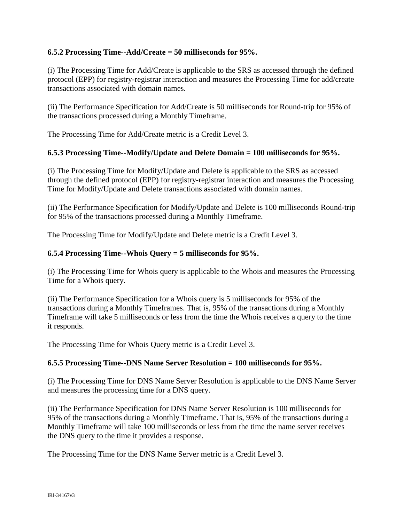## **6.5.2 Processing Time--Add/Create = 50 milliseconds for 95%.**

(i) The Processing Time for Add/Create is applicable to the SRS as accessed through the defined protocol (EPP) for registry-registrar interaction and measures the Processing Time for add/create transactions associated with domain names.

(ii) The Performance Specification for Add/Create is 50 milliseconds for Round-trip for 95% of the transactions processed during a Monthly Timeframe.

The Processing Time for Add/Create metric is a Credit Level 3.

#### **6.5.3 Processing Time--Modify/Update and Delete Domain = 100 milliseconds for 95%.**

(i) The Processing Time for Modify/Update and Delete is applicable to the SRS as accessed through the defined protocol (EPP) for registry-registrar interaction and measures the Processing Time for Modify/Update and Delete transactions associated with domain names.

(ii) The Performance Specification for Modify/Update and Delete is 100 milliseconds Round-trip for 95% of the transactions processed during a Monthly Timeframe.

The Processing Time for Modify/Update and Delete metric is a Credit Level 3.

#### **6.5.4 Processing Time--Whois Query = 5 milliseconds for 95%.**

(i) The Processing Time for Whois query is applicable to the Whois and measures the Processing Time for a Whois query.

(ii) The Performance Specification for a Whois query is 5 milliseconds for 95% of the transactions during a Monthly Timeframes. That is, 95% of the transactions during a Monthly Timeframe will take 5 milliseconds or less from the time the Whois receives a query to the time it responds.

The Processing Time for Whois Query metric is a Credit Level 3.

#### **6.5.5 Processing Time--DNS Name Server Resolution = 100 milliseconds for 95%.**

(i) The Processing Time for DNS Name Server Resolution is applicable to the DNS Name Server and measures the processing time for a DNS query.

(ii) The Performance Specification for DNS Name Server Resolution is 100 milliseconds for 95% of the transactions during a Monthly Timeframe. That is, 95% of the transactions during a Monthly Timeframe will take 100 milliseconds or less from the time the name server receives the DNS query to the time it provides a response.

The Processing Time for the DNS Name Server metric is a Credit Level 3.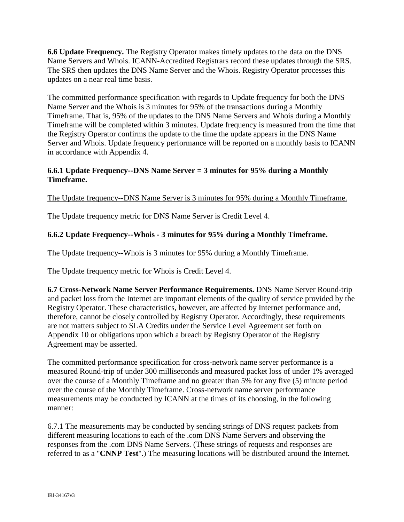**6.6 Update Frequency.** The Registry Operator makes timely updates to the data on the DNS Name Servers and Whois. ICANN-Accredited Registrars record these updates through the SRS. The SRS then updates the DNS Name Server and the Whois. Registry Operator processes this updates on a near real time basis.

The committed performance specification with regards to Update frequency for both the DNS Name Server and the Whois is 3 minutes for 95% of the transactions during a Monthly Timeframe. That is, 95% of the updates to the DNS Name Servers and Whois during a Monthly Timeframe will be completed within 3 minutes. Update frequency is measured from the time that the Registry Operator confirms the update to the time the update appears in the DNS Name Server and Whois. Update frequency performance will be reported on a monthly basis to ICANN in accordance with Appendix 4.

## **6.6.1 Update Frequency--DNS Name Server = 3 minutes for 95% during a Monthly Timeframe.**

The Update frequency--DNS Name Server is 3 minutes for 95% during a Monthly Timeframe.

The Update frequency metric for DNS Name Server is Credit Level 4.

## **6.6.2 Update Frequency--Whois - 3 minutes for 95% during a Monthly Timeframe.**

The Update frequency--Whois is 3 minutes for 95% during a Monthly Timeframe.

The Update frequency metric for Whois is Credit Level 4.

**6.7 Cross-Network Name Server Performance Requirements.** DNS Name Server Round-trip and packet loss from the Internet are important elements of the quality of service provided by the Registry Operator. These characteristics, however, are affected by Internet performance and, therefore, cannot be closely controlled by Registry Operator. Accordingly, these requirements are not matters subject to SLA Credits under the Service Level Agreement set forth on Appendix 10 or obligations upon which a breach by Registry Operator of the Registry Agreement may be asserted.

The committed performance specification for cross-network name server performance is a measured Round-trip of under 300 milliseconds and measured packet loss of under 1% averaged over the course of a Monthly Timeframe and no greater than 5% for any five (5) minute period over the course of the Monthly Timeframe. Cross-network name server performance measurements may be conducted by ICANN at the times of its choosing, in the following manner:

6.7.1 The measurements may be conducted by sending strings of DNS request packets from different measuring locations to each of the .com DNS Name Servers and observing the responses from the .com DNS Name Servers. (These strings of requests and responses are referred to as a "**CNNP Test**".) The measuring locations will be distributed around the Internet.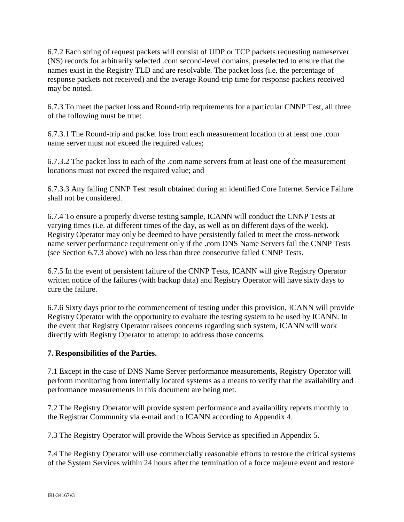6.7.2 Each string of request packets will consist of UDP or TCP packets requesting nameserver (NS) records for arbitrarily selected .com second-level domains, preselected to ensure that the names exist in the Registry TLD and are resolvable. The packet loss (i.e. the percentage of response packets not received) and the average Round-trip time for response packets received may be noted.

6.7.3 To meet the packet loss and Round-trip requirements for a particular CNNP Test, all three of the following must be true:

6.7.3.1 The Round-trip and packet loss from each measurement location to at least one .com name server must not exceed the required values;

6.7.3.2 The packet loss to each of the .com name servers from at least one of the measurement locations must not exceed the required value; and

6.7.3.3 Any failing CNNP Test result obtained during an identified Core Internet Service Failure shall not be considered.

6.7.4 To ensure a properly diverse testing sample, ICANN will conduct the CNNP Tests at varying times (i.e. at different times of the day, as well as on different days of the week). Registry Operator may only be deemed to have persistently failed to meet the cross-network name server performance requirement only if the .com DNS Name Servers fail the CNNP Tests (see Section 6.7.3 above) with no less than three consecutive failed CNNP Tests.

6.7.5 In the event of persistent failure of the CNNP Tests, ICANN will give Registry Operator written notice of the failures (with backup data) and Registry Operator will have sixty days to cure the failure.

6.7.6 Sixty days prior to the commencement of testing under this provision, ICANN will provide Registry Operator with the opportunity to evaluate the testing system to be used by ICANN. In the event that Registry Operator raisees concerns regarding such system, ICANN will work directly with Registry Operator to attempt to address those concerns.

## **7. Responsibilities of the Parties.**

7.1 Except in the case of DNS Name Server performance measurements, Registry Operator will perform monitoring from internally located systems as a means to verify that the availability and performance measurements in this document are being met.

7.2 The Registry Operator will provide system performance and availability reports monthly to the Registrar Community via e-mail and to ICANN according to Appendix 4.

7.3 The Registry Operator will provide the Whois Service as specified in Appendix 5.

7.4 The Registry Operator will use commercially reasonable efforts to restore the critical systems of the System Services within 24 hours after the termination of a force majeure event and restore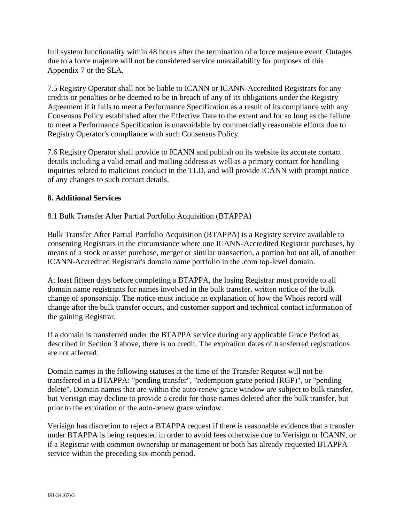full system functionality within 48 hours after the termination of a force majeure event. Outages due to a force majeure will not be considered service unavailability for purposes of this Appendix 7 or the SLA.

7.5 Registry Operator shall not be liable to ICANN or ICANN-Accredited Registrars for any credits or penalties or be deemed to be in breach of any of its obligations under the Registry Agreement if it fails to meet a Performance Specification as a result of its compliance with any Consensus Policy established after the Effective Date to the extent and for so long as the failure to meet a Performance Specification is unavoidable by commercially reasonable efforts due to Registry Operator's compliance with such Consensus Policy.

7.6 Registry Operator shall provide to ICANN and publish on its website its accurate contact details including a valid email and mailing address as well as a primary contact for handling inquiries related to malicious conduct in the TLD, and will provide ICANN with prompt notice of any changes to such contact details.

## **8. Additional Services**

#### 8.1 Bulk Transfer After Partial Portfolio Acquisition (BTAPPA)

Bulk Transfer After Partial Portfolio Acquisition (BTAPPA) is a Registry service available to consenting Registrars in the circumstance where one ICANN-Accredited Registrar purchases, by means of a stock or asset purchase, merger or similar transaction, a portion but not all, of another ICANN-Accredited Registrar's domain name portfolio in the .com top-level domain.

At least fifteen days before completing a BTAPPA, the losing Registrar must provide to all domain name registrants for names involved in the bulk transfer, written notice of the bulk change of sponsorship. The notice must include an explanation of how the Whois record will change after the bulk transfer occurs, and customer support and technical contact information of the gaining Registrar.

If a domain is transferred under the BTAPPA service during any applicable Grace Period as described in Section 3 above, there is no credit. The expiration dates of transferred registrations are not affected.

Domain names in the following statuses at the time of the Transfer Request will not be transferred in a BTAPPA: "pending transfer", "redemption grace period (RGP)", or "pending delete". Domain names that are within the auto-renew grace window are subject to bulk transfer, but Verisign may decline to provide a credit for those names deleted after the bulk transfer, but prior to the expiration of the auto-renew grace window.

Verisign has discretion to reject a BTAPPA request if there is reasonable evidence that a transfer under BTAPPA is being requested in order to avoid fees otherwise due to Verisign or ICANN, or if a Registrar with common ownership or management or both has already requested BTAPPA service within the preceding six-month period.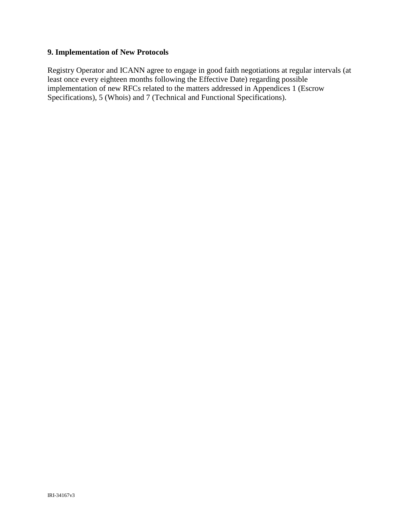## **9. Implementation of New Protocols**

Registry Operator and ICANN agree to engage in good faith negotiations at regular intervals (at least once every eighteen months following the Effective Date) regarding possible implementation of new RFCs related to the matters addressed in Appendices 1 (Escrow Specifications), 5 (Whois) and 7 (Technical and Functional Specifications).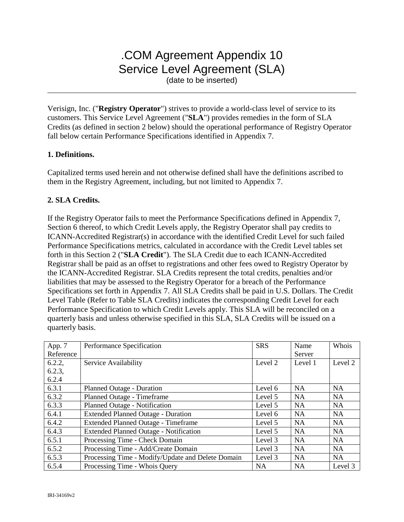# .COM Agreement Appendix 10 Service Level Agreement (SLA)

(date to be inserted)

Verisign, Inc. ("**Registry Operator**") strives to provide a world-class level of service to its customers. This Service Level Agreement ("**SLA**") provides remedies in the form of SLA Credits (as defined in section 2 below) should the operational performance of Registry Operator fall below certain Performance Specifications identified in Appendix 7.

#### **1. Definitions.**

Capitalized terms used herein and not otherwise defined shall have the definitions ascribed to them in the Registry Agreement, including, but not limited to Appendix 7.

#### **2. SLA Credits.**

If the Registry Operator fails to meet the Performance Specifications defined in Appendix 7, Section 6 thereof, to which Credit Levels apply, the Registry Operator shall pay credits to ICANN-Accredited Registrar(s) in accordance with the identified Credit Level for such failed Performance Specifications metrics, calculated in accordance with the Credit Level tables set forth in this Section 2 ("**SLA Credit**"). The SLA Credit due to each ICANN-Accredited Registrar shall be paid as an offset to registrations and other fees owed to Registry Operator by the ICANN-Accredited Registrar. SLA Credits represent the total credits, penalties and/or liabilities that may be assessed to the Registry Operator for a breach of the Performance Specifications set forth in Appendix 7. All SLA Credits shall be paid in U.S. Dollars. The Credit Level Table (Refer to Table SLA Credits) indicates the corresponding Credit Level for each Performance Specification to which Credit Levels apply. This SLA will be reconciled on a quarterly basis and unless otherwise specified in this SLA, SLA Credits will be issued on a quarterly basis.

| App. 7<br>Reference | Performance Specification                         | <b>SRS</b> | Name<br>Server | Whois     |
|---------------------|---------------------------------------------------|------------|----------------|-----------|
| 6.2.2,              | Service Availability                              | Level 2    | Level 1        | Level 2   |
| 6.2.3,              |                                                   |            |                |           |
| 6.2.4               |                                                   |            |                |           |
| 6.3.1               | <b>Planned Outage - Duration</b>                  | Level 6    | <b>NA</b>      | <b>NA</b> |
| 6.3.2               | Planned Outage - Timeframe                        | Level 5    | <b>NA</b>      | <b>NA</b> |
| 6.3.3               | Planned Outage - Notification                     | Level 5    | <b>NA</b>      | <b>NA</b> |
| 6.4.1               | <b>Extended Planned Outage - Duration</b>         | Level 6    | <b>NA</b>      | <b>NA</b> |
| 6.4.2               | <b>Extended Planned Outage - Timeframe</b>        | Level 5    | <b>NA</b>      | <b>NA</b> |
| 6.4.3               | <b>Extended Planned Outage - Notification</b>     | Level 5    | <b>NA</b>      | <b>NA</b> |
| 6.5.1               | Processing Time - Check Domain                    | Level 3    | <b>NA</b>      | <b>NA</b> |
| 6.5.2               | Processing Time - Add/Create Domain               | Level 3    | <b>NA</b>      | <b>NA</b> |
| 6.5.3               | Processing Time - Modify/Update and Delete Domain | Level 3    | <b>NA</b>      | <b>NA</b> |
| 6.5.4               | Processing Time - Whois Query                     | <b>NA</b>  | <b>NA</b>      | Level 3   |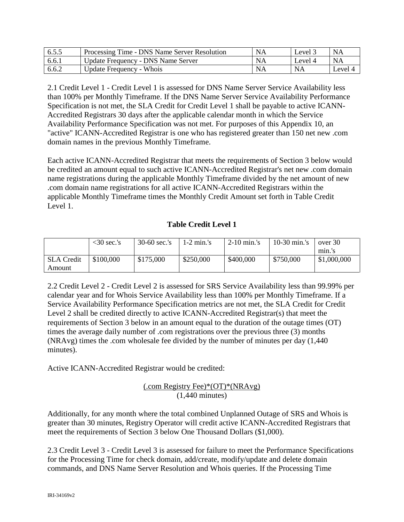| 6.5.5 | Processing Time - DNS Name Server Resolution | <b>NA</b> | Level?  | <b>NA</b> |
|-------|----------------------------------------------|-----------|---------|-----------|
| 6.6.1 | Update Frequency - DNS Name Server           | NA        | Level 4 | <b>NA</b> |
| 6.6.2 | Update Frequency - Whois                     | NΑ        | NA      | Level 4   |

2.1 Credit Level 1 - Credit Level 1 is assessed for DNS Name Server Service Availability less than 100% per Monthly Timeframe. If the DNS Name Server Service Availability Performance Specification is not met, the SLA Credit for Credit Level 1 shall be payable to active ICANN-Accredited Registrars 30 days after the applicable calendar month in which the Service Availability Performance Specification was not met. For purposes of this Appendix 10, an "active" ICANN-Accredited Registrar is one who has registered greater than 150 net new .com domain names in the previous Monthly Timeframe.

Each active ICANN-Accredited Registrar that meets the requirements of Section 3 below would be credited an amount equal to such active ICANN-Accredited Registrar's net new .com domain name registrations during the applicable Monthly Timeframe divided by the net amount of new .com domain name registrations for all active ICANN-Accredited Registrars within the applicable Monthly Timeframe times the Monthly Credit Amount set forth in Table Credit Level 1.

## **Table Credit Level 1**

|                   | $<$ 30 sec.'s | $30-60$ sec.'s | 1-2 min.'s | $2-10$ min.'s | 10-30 min.'s | over 30     |
|-------------------|---------------|----------------|------------|---------------|--------------|-------------|
|                   |               |                |            |               |              | min.'s      |
| <b>SLA</b> Credit | \$100,000     | \$175,000      | \$250,000  | \$400,000     | \$750,000    | \$1,000,000 |
| Amount            |               |                |            |               |              |             |

2.2 Credit Level 2 - Credit Level 2 is assessed for SRS Service Availability less than 99.99% per calendar year and for Whois Service Availability less than 100% per Monthly Timeframe. If a Service Availability Performance Specification metrics are not met, the SLA Credit for Credit Level 2 shall be credited directly to active ICANN-Accredited Registrar(s) that meet the requirements of Section 3 below in an amount equal to the duration of the outage times (OT) times the average daily number of .com registrations over the previous three (3) months (NRAvg) times the .com wholesale fee divided by the number of minutes per day (1,440 minutes).

Active ICANN-Accredited Registrar would be credited:

## (.com Registry Fee)\*(OT)\*(NRAvg) (1,440 minutes)

Additionally, for any month where the total combined Unplanned Outage of SRS and Whois is greater than 30 minutes, Registry Operator will credit active ICANN-Accredited Registrars that meet the requirements of Section 3 below One Thousand Dollars (\$1,000).

2.3 Credit Level 3 - Credit Level 3 is assessed for failure to meet the Performance Specifications for the Processing Time for check domain, add/create, modify/update and delete domain commands, and DNS Name Server Resolution and Whois queries. If the Processing Time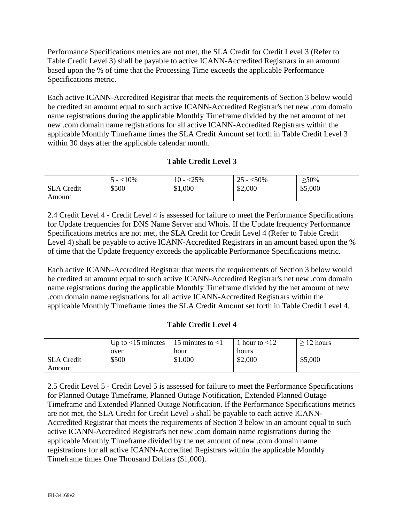Performance Specifications metrics are not met, the SLA Credit for Credit Level 3 (Refer to Table Credit Level 3) shall be payable to active ICANN-Accredited Registrars in an amount based upon the % of time that the Processing Time exceeds the applicable Performance Specifications metric.

Each active ICANN-Accredited Registrar that meets the requirements of Section 3 below would be credited an amount equal to such active ICANN-Accredited Registrar's net new .com domain name registrations during the applicable Monthly Timeframe divided by the net amount of net new .com domain name registrations for all active ICANN-Accredited Registrars within the applicable Monthly Timeframe times the SLA Credit Amount set forth in Table Credit Level 3 within 30 days after the applicable calendar month.

## **Table Credit Level 3**

|                   | .10%<br>$-$ | 10<br><25%<br>$\overline{\phantom{0}}$ | 25<br>$<$ 50%<br>$\overline{\phantom{0}}$ | $\geq 50\%$ |
|-------------------|-------------|----------------------------------------|-------------------------------------------|-------------|
| <b>SLA</b> Credit | \$500       | \$1,000                                | \$2,000                                   | \$5,000     |
| Amount            |             |                                        |                                           |             |

2.4 Credit Level 4 - Credit Level 4 is assessed for failure to meet the Performance Specifications for Update frequencies for DNS Name Server and Whois. If the Update frequency Performance Specifications metrics are not met, the SLA Credit for Credit Level 4 (Refer to Table Credit Level 4) shall be payable to active ICANN-Accredited Registrars in an amount based upon the % of time that the Update frequency exceeds the applicable Performance Specifications metric.

Each active ICANN-Accredited Registrar that meets the requirements of Section 3 below would be credited an amount equal to such active ICANN-Accredited Registrar's net new .com domain name registrations during the applicable Monthly Timeframe divided by the net amount of new .com domain name registrations for all active ICANN-Accredited Registrars within the applicable Monthly Timeframe times the SLA Credit Amount set forth in Table Credit Level 4.

## **Table Credit Level 4**

|                   | Up to $<$ 15 minutes | 15 minutes to $<$ 1 | hour to $<$ 12 | $\geq$ 12 hours |
|-------------------|----------------------|---------------------|----------------|-----------------|
|                   | over                 | hour                | hours          |                 |
| <b>SLA</b> Credit | \$500                | \$1,000             | \$2,000        | \$5,000         |
| Amount            |                      |                     |                |                 |

2.5 Credit Level 5 - Credit Level 5 is assessed for failure to meet the Performance Specifications for Planned Outage Timeframe, Planned Outage Notification, Extended Planned Outage Timeframe and Extended Planned Outage Notification. If the Performance Specifications metrics are not met, the SLA Credit for Credit Level 5 shall be payable to each active ICANN-Accredited Registrar that meets the requirements of Section 3 below in an amount equal to such active ICANN-Accredited Registrar's net new .com domain name registrations during the applicable Monthly Timeframe divided by the net amount of new .com domain name registrations for all active ICANN-Accredited Registrars within the applicable Monthly Timeframe times One Thousand Dollars (\$1,000).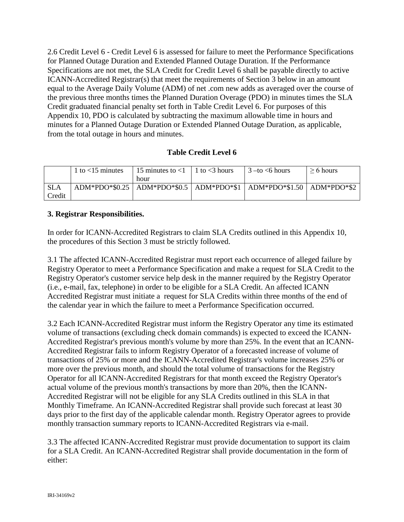2.6 Credit Level 6 - Credit Level 6 is assessed for failure to meet the Performance Specifications for Planned Outage Duration and Extended Planned Outage Duration. If the Performance Specifications are not met, the SLA Credit for Credit Level 6 shall be payable directly to active ICANN-Accredited Registrar(s) that meet the requirements of Section 3 below in an amount equal to the Average Daily Volume (ADM) of net .com new adds as averaged over the course of the previous three months times the Planned Duration Overage (PDO) in minutes times the SLA Credit graduated financial penalty set forth in Table Credit Level 6. For purposes of this Appendix 10, PDO is calculated by subtracting the maximum allowable time in hours and minutes for a Planned Outage Duration or Extended Planned Outage Duration, as applicable, from the total outage in hours and minutes.

## **Table Credit Level 6**

|            | 1 to $<$ 15 minutes | 15 minutes to $<$ 1 | 1 to $<$ 3 hours | $3$ –to $\leq 6$ hours                                                      | $\geq 6$ hours |
|------------|---------------------|---------------------|------------------|-----------------------------------------------------------------------------|----------------|
|            |                     | hour                |                  |                                                                             |                |
| <b>SLA</b> |                     |                     |                  | ADM*PDO*\$0.25   ADM*PDO*\$0.5   ADM*PDO*\$1   ADM*PDO*\$1.50   ADM*PDO*\$2 |                |
| Credit     |                     |                     |                  |                                                                             |                |

## **3. Registrar Responsibilities.**

In order for ICANN-Accredited Registrars to claim SLA Credits outlined in this Appendix 10, the procedures of this Section 3 must be strictly followed.

3.1 The affected ICANN-Accredited Registrar must report each occurrence of alleged failure by Registry Operator to meet a Performance Specification and make a request for SLA Credit to the Registry Operator's customer service help desk in the manner required by the Registry Operator (i.e., e-mail, fax, telephone) in order to be eligible for a SLA Credit. An affected ICANN Accredited Registrar must initiate a request for SLA Credits within three months of the end of the calendar year in which the failure to meet a Performance Specification occurred.

3.2 Each ICANN-Accredited Registrar must inform the Registry Operator any time its estimated volume of transactions (excluding check domain commands) is expected to exceed the ICANN-Accredited Registrar's previous month's volume by more than 25%. In the event that an ICANN-Accredited Registrar fails to inform Registry Operator of a forecasted increase of volume of transactions of 25% or more and the ICANN-Accredited Registrar's volume increases 25% or more over the previous month, and should the total volume of transactions for the Registry Operator for all ICANN-Accredited Registrars for that month exceed the Registry Operator's actual volume of the previous month's transactions by more than 20%, then the ICANN-Accredited Registrar will not be eligible for any SLA Credits outlined in this SLA in that Monthly Timeframe. An ICANN-Accredited Registrar shall provide such forecast at least 30 days prior to the first day of the applicable calendar month. Registry Operator agrees to provide monthly transaction summary reports to ICANN-Accredited Registrars via e-mail.

3.3 The affected ICANN-Accredited Registrar must provide documentation to support its claim for a SLA Credit. An ICANN-Accredited Registrar shall provide documentation in the form of either: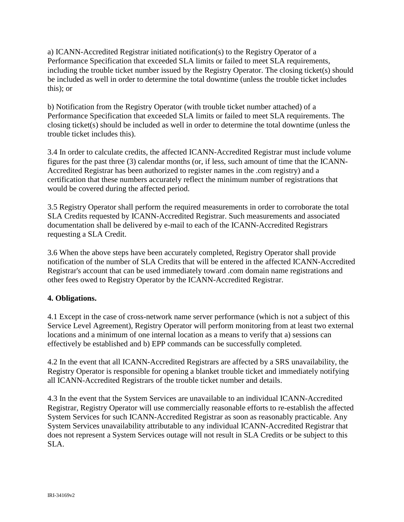a) ICANN-Accredited Registrar initiated notification(s) to the Registry Operator of a Performance Specification that exceeded SLA limits or failed to meet SLA requirements, including the trouble ticket number issued by the Registry Operator. The closing ticket(s) should be included as well in order to determine the total downtime (unless the trouble ticket includes this); or

b) Notification from the Registry Operator (with trouble ticket number attached) of a Performance Specification that exceeded SLA limits or failed to meet SLA requirements. The closing ticket(s) should be included as well in order to determine the total downtime (unless the trouble ticket includes this).

3.4 In order to calculate credits, the affected ICANN-Accredited Registrar must include volume figures for the past three (3) calendar months (or, if less, such amount of time that the ICANN-Accredited Registrar has been authorized to register names in the .com registry) and a certification that these numbers accurately reflect the minimum number of registrations that would be covered during the affected period.

3.5 Registry Operator shall perform the required measurements in order to corroborate the total SLA Credits requested by ICANN-Accredited Registrar. Such measurements and associated documentation shall be delivered by e-mail to each of the ICANN-Accredited Registrars requesting a SLA Credit.

3.6 When the above steps have been accurately completed, Registry Operator shall provide notification of the number of SLA Credits that will be entered in the affected ICANN-Accredited Registrar's account that can be used immediately toward .com domain name registrations and other fees owed to Registry Operator by the ICANN-Accredited Registrar.

## **4. Obligations.**

4.1 Except in the case of cross-network name server performance (which is not a subject of this Service Level Agreement), Registry Operator will perform monitoring from at least two external locations and a minimum of one internal location as a means to verify that a) sessions can effectively be established and b) EPP commands can be successfully completed.

4.2 In the event that all ICANN-Accredited Registrars are affected by a SRS unavailability, the Registry Operator is responsible for opening a blanket trouble ticket and immediately notifying all ICANN-Accredited Registrars of the trouble ticket number and details.

4.3 In the event that the System Services are unavailable to an individual ICANN-Accredited Registrar, Registry Operator will use commercially reasonable efforts to re-establish the affected System Services for such ICANN-Accredited Registrar as soon as reasonably practicable. Any System Services unavailability attributable to any individual ICANN-Accredited Registrar that does not represent a System Services outage will not result in SLA Credits or be subject to this SLA.